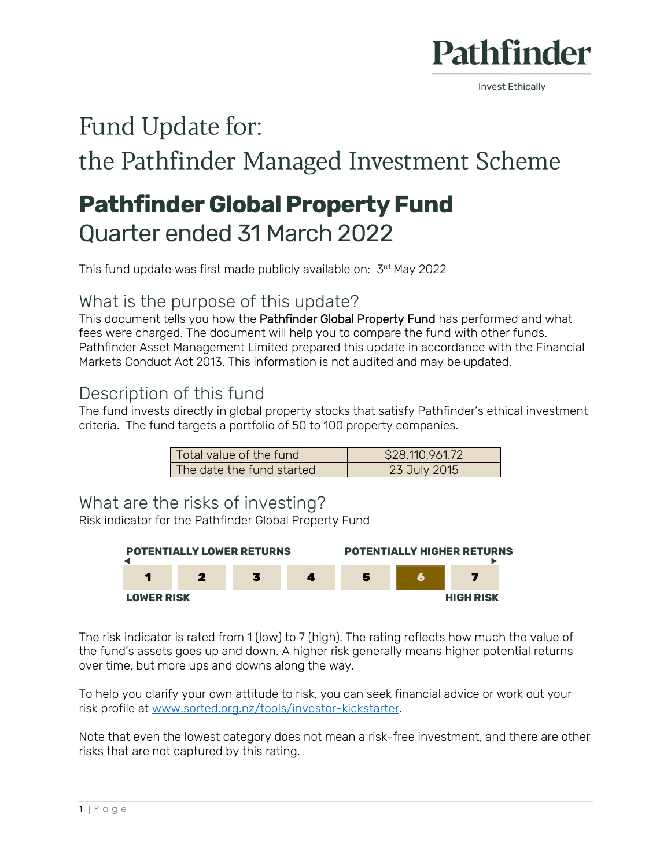

**Invest Ethically** 

# Fund Update for:

the Pathfinder Managed Investment Scheme

# **Pathfinder Global Property Fund** Quarter ended 31 March 2022

This fund update was first made publicly available on: 3rd May 2022

## What is the purpose of this update?

This document tells you how the Pathfinder Global Property Fund has performed and what fees were charged. The document will help you to compare the fund with other funds. Pathfinder Asset Management Limited prepared this update in accordance with the Financial Markets Conduct Act 2013. This information is not audited and may be updated.

## Description of this fund

The fund invests directly in global property stocks that satisfy Pathfinder's ethical investment criteria. The fund targets a portfolio of 50 to 100 property companies.

| Total value of the fund   | \$28,110,961.72 |
|---------------------------|-----------------|
| The date the fund started | 23 July 2015    |

#### What are the risks of investing?

Risk indicator for the Pathfinder Global Property Fund



The risk indicator is rated from 1 (low) to 7 (high). The rating reflects how much the value of the fund's assets goes up and down. A higher risk generally means higher potential returns over time, but more ups and downs along the way.

To help you clarify your own attitude to risk, you can seek financial advice or work out your risk profile at [www.sorted.org.nz/tools/investor-kickstarter.](http://www.sorted.org.nz/tools/investor-kickstarter)

Note that even the lowest category does not mean a risk-free investment, and there are other risks that are not captured by this rating.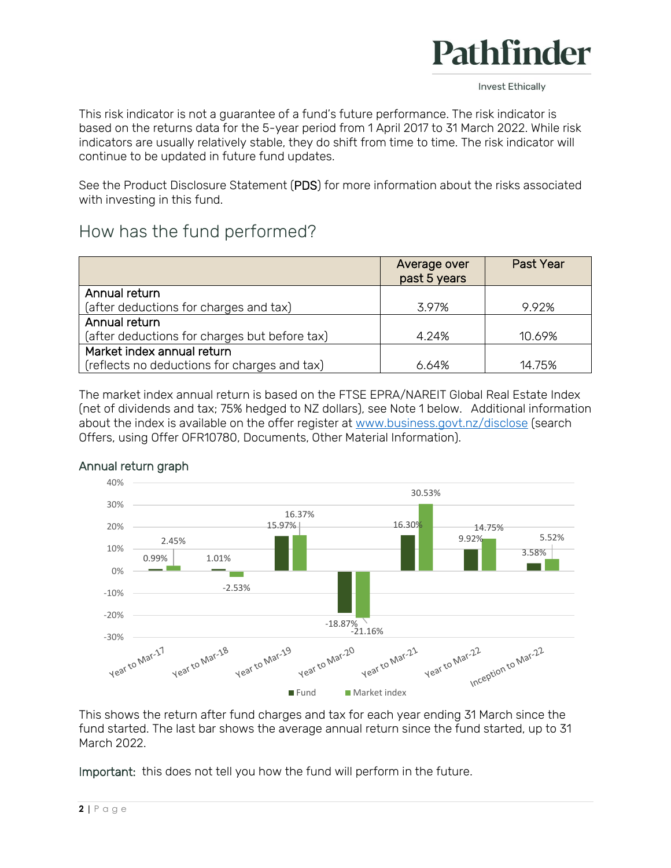

**Invest Ethically** 

This risk indicator is not a guarantee of a fund's future performance. The risk indicator is based on the returns data for the 5-year period from 1 April 2017 to 31 March 2022. While risk indicators are usually relatively stable, they do shift from time to time. The risk indicator will continue to be updated in future fund updates.

See the Product Disclosure Statement (PDS) for more information about the risks associated with investing in this fund.

## How has the fund performed?

|                                               | Average over<br>past 5 years | Past Year |
|-----------------------------------------------|------------------------------|-----------|
| Annual return                                 |                              |           |
| (after deductions for charges and tax)        | 3.97%                        | 9.92%     |
| Annual return                                 |                              |           |
| (after deductions for charges but before tax) | 4.24%                        | 10.69%    |
| Market index annual return                    |                              |           |
| (reflects no deductions for charges and tax)  | 6.64%                        | 14.75%    |

The market index annual return is based on the FTSE EPRA/NAREIT Global Real Estate Index (net of dividends and tax; 75% hedged to NZ dollars), see Note 1 below. Additional information about the index is available on the offer register at [www.business.govt.nz/disclose](http://www.business.govt.nz/disclose) (search Offers, using Offer OFR10780, Documents, Other Material Information).



#### Annual return graph

This shows the return after fund charges and tax for each year ending 31 March since the fund started. The last bar shows the average annual return since the fund started, up to 31 March 2022.

Important: this does not tell you how the fund will perform in the future.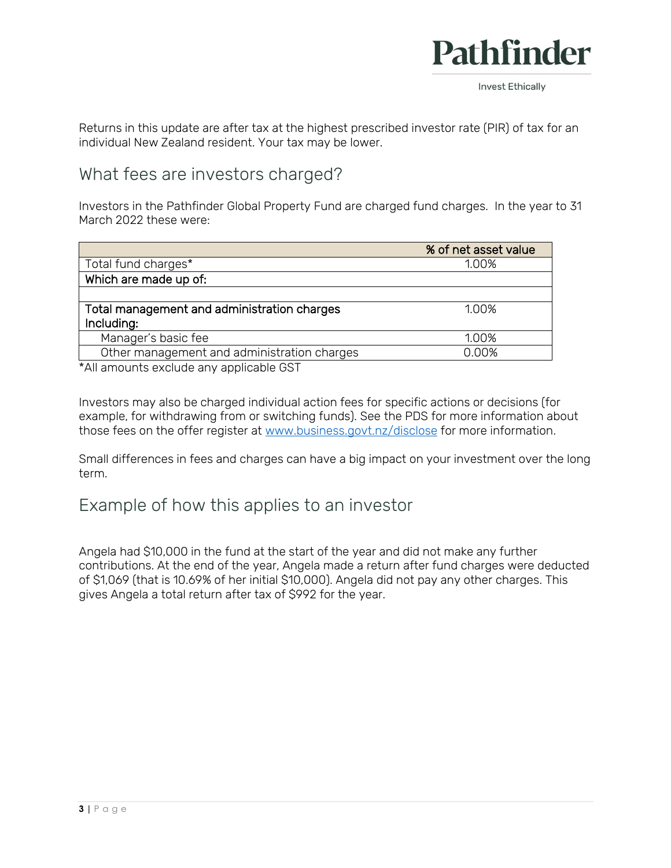

Returns in this update are after tax at the highest prescribed investor rate (PIR) of tax for an individual New Zealand resident. Your tax may be lower.

### What fees are investors charged?

Investors in the Pathfinder Global Property Fund are charged fund charges. In the year to 31 March 2022 these were:

|                                             | % of net asset value |
|---------------------------------------------|----------------------|
| Total fund charges*                         | 1.00%                |
| Which are made up of:                       |                      |
|                                             |                      |
| Total management and administration charges | 1.00%                |
| Including:                                  |                      |
| Manager's basic fee                         | 1.00%                |
| Other management and administration charges | 0.00%                |

\*All amounts exclude any applicable GST

Investors may also be charged individual action fees for specific actions or decisions (for example, for withdrawing from or switching funds). See the PDS for more information about those fees on the offer register at [www.business.govt.nz/disclose](http://www.business.govt.nz/disclose) for more information.

Small differences in fees and charges can have a big impact on your investment over the long term.

#### Example of how this applies to an investor

Angela had \$10,000 in the fund at the start of the year and did not make any further contributions. At the end of the year, Angela made a return after fund charges were deducted of \$1,069 (that is 10.69% of her initial \$10,000). Angela did not pay any other charges. This gives Angela a total return after tax of \$992 for the year.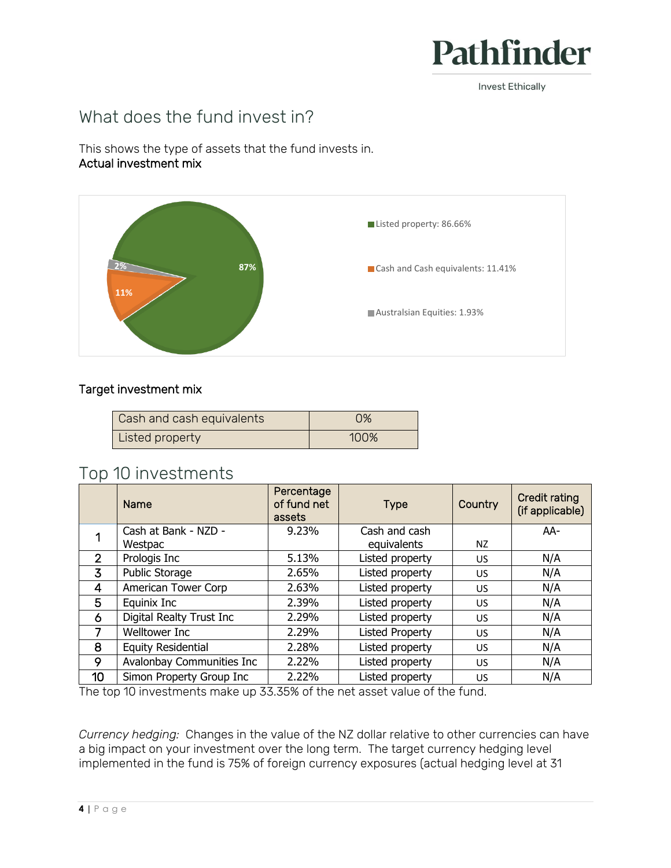

**Invest Ethically** 

## What does the fund invest in?

This shows the type of assets that the fund invests in. Actual investment mix



#### Target investment mix

| Cash and cash equivalents | 0%   |
|---------------------------|------|
| Listed property           | 100% |

### Top 10 investments

|                | Name                      | Percentage<br>of fund net<br>assets | <b>Type</b>            | Country   | Credit rating<br>(if applicable) |
|----------------|---------------------------|-------------------------------------|------------------------|-----------|----------------------------------|
|                | Cash at Bank - NZD -      | 9.23%                               | Cash and cash          |           | AA-                              |
|                | Westpac                   |                                     | equivalents            | NZ        |                                  |
| $\overline{2}$ | Prologis Inc              | 5.13%                               | Listed property        | <b>US</b> | N/A                              |
| 3              | Public Storage            | 2.65%                               | Listed property        | <b>US</b> | N/A                              |
| $\overline{4}$ | American Tower Corp       | 2.63%                               | Listed property        | <b>US</b> | N/A                              |
| 5              | Equinix Inc               | 2.39%                               | Listed property        | <b>US</b> | N/A                              |
| 6              | Digital Realty Trust Inc  | 2.29%                               | Listed property        | US.       | N/A                              |
| 7              | <b>Welltower Inc</b>      | 2.29%                               | <b>Listed Property</b> | US.       | N/A                              |
| 8              | <b>Equity Residential</b> | 2.28%                               | Listed property        | <b>US</b> | N/A                              |
| 9              | Avalonbay Communities Inc | 2.22%                               | Listed property        | <b>US</b> | N/A                              |
| 10             | Simon Property Group Inc  | 2.22%                               | Listed property        | US        | N/A                              |

The top 10 investments make up 33.35% of the net asset value of the fund.

*Currency hedging:* Changes in the value of the NZ dollar relative to other currencies can have a big impact on your investment over the long term. The target currency hedging level implemented in the fund is 75% of foreign currency exposures (actual hedging level at 31